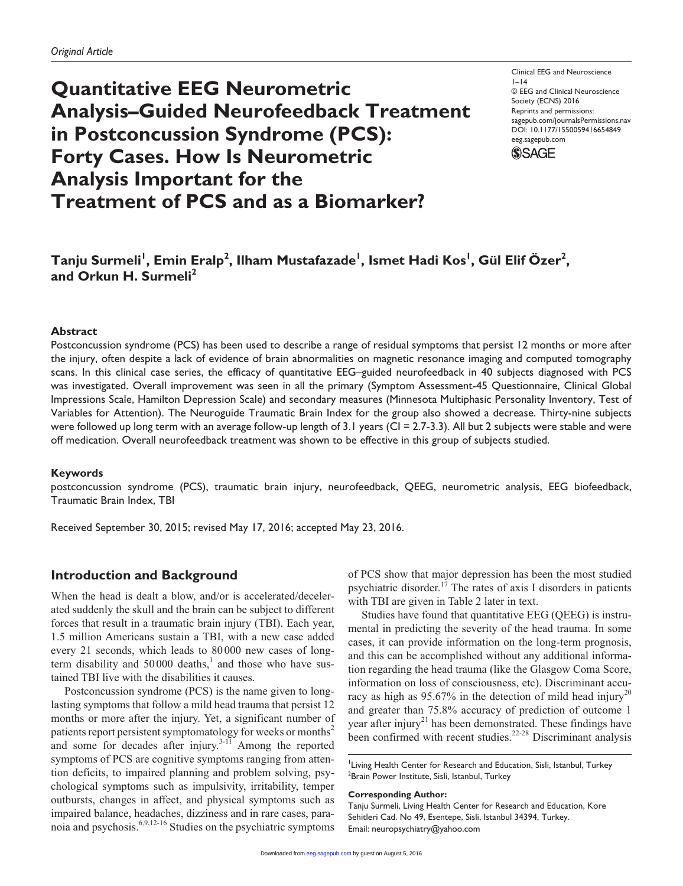# **Quantitative EEG Neurometric Analysis–Guided Neurofeedback Treatment in Postconcussion Syndrome (PCS): Forty Cases. How Is Neurometric Analysis Important for the Treatment of PCS and as a Biomarker?**

Clinical EEG and Neuroscience  $1-14$ © EEG and Clinical Neuroscience Society (ECNS) 2016 Reprints and permissions: sagepub.com/journalsPermissions.nav DOI: 10.1177/1550059416654849 eeg.sagepub.com **SSAGE** 

# $\mathsf{T}$ anju Surmeli $^{\mathsf{I}}$ , Emin Eralp $^{\mathsf{2}}$ , Ilham Mustafazade $^{\mathsf{I}}$ , Ismet Hadi Kos $^{\mathsf{I}}$ , Gül Elif Özer $^{\mathsf{2}}$ , and Orkun H. Surmeli<sup>2</sup>

#### **Abstract**

Postconcussion syndrome (PCS) has been used to describe a range of residual symptoms that persist 12 months or more after the injury, often despite a lack of evidence of brain abnormalities on magnetic resonance imaging and computed tomography scans. In this clinical case series, the efficacy of quantitative EEG–guided neurofeedback in 40 subjects diagnosed with PCS was investigated. Overall improvement was seen in all the primary (Symptom Assessment-45 Questionnaire, Clinical Global Impressions Scale, Hamilton Depression Scale) and secondary measures (Minnesota Multiphasic Personality Inventory, Test of Variables for Attention). The Neuroguide Traumatic Brain Index for the group also showed a decrease. Thirty-nine subjects were followed up long term with an average follow-up length of 3.1 years (CI = 2.7-3.3). All but 2 subjects were stable and were off medication. Overall neurofeedback treatment was shown to be effective in this group of subjects studied.

#### **Keywords**

postconcussion syndrome (PCS), traumatic brain injury, neurofeedback, QEEG, neurometric analysis, EEG biofeedback, Traumatic Brain Index, TBI

Received September 30, 2015; revised May 17, 2016; accepted May 23, 2016.

# **Introduction and Background**

When the head is dealt a blow, and/or is accelerated/decelerated suddenly the skull and the brain can be subject to different forces that result in a traumatic brain injury (TBI). Each year, 1.5 million Americans sustain a TBI, with a new case added every 21 seconds, which leads to 80 000 new cases of longterm disability and  $50000$  deaths,<sup>1</sup> and those who have sustained TBI live with the disabilities it causes.

Postconcussion syndrome (PCS) is the name given to longlasting symptoms that follow a mild head trauma that persist 12 months or more after the injury. Yet, a significant number of patients report persistent symptomatology for weeks or months<sup>2</sup> and some for decades after injury.<sup>3-11</sup> Among the reported symptoms of PCS are cognitive symptoms ranging from attention deficits, to impaired planning and problem solving, psychological symptoms such as impulsivity, irritability, temper outbursts, changes in affect, and physical symptoms such as impaired balance, headaches, dizziness and in rare cases, paranoia and psychosis.6,9,12-16 Studies on the psychiatric symptoms

of PCS show that major depression has been the most studied psychiatric disorder.<sup>17</sup> The rates of axis I disorders in patients with TBI are given in Table 2 later in text.

Studies have found that quantitative EEG (QEEG) is instrumental in predicting the severity of the head trauma. In some cases, it can provide information on the long-term prognosis, and this can be accomplished without any additional information regarding the head trauma (like the Glasgow Coma Score, information on loss of consciousness, etc). Discriminant accuracy as high as 95.67% in the detection of mild head injury<sup>20</sup> and greater than 75.8% accuracy of prediction of outcome 1 year after injury<sup>21</sup> has been demonstrated. These findings have been confirmed with recent studies.<sup>22-28</sup> Discriminant analysis

#### **Corresponding Author:**

Living Health Center for Research and Education, Sisli, Istanbul, Turkey <sup>2</sup>Brain Power Institute, Sisli, Istanbul, Turkey

Tanju Surmeli, Living Health Center for Research and Education, Kore Sehitleri Cad. No 49, Esentepe, Sisli, Istanbul 34394, Turkey. Email: [neuropsychiatry@yahoo.com](mailto:neuropsychiatry@yahoo.com)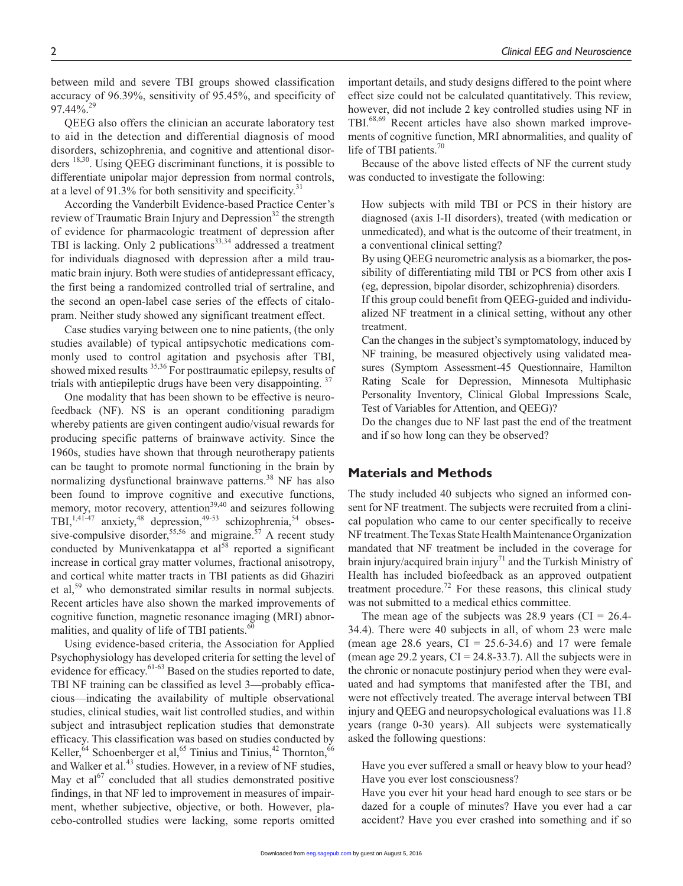between mild and severe TBI groups showed classification accuracy of 96.39%, sensitivity of 95.45%, and specificity of 97.44%.29

QEEG also offers the clinician an accurate laboratory test to aid in the detection and differential diagnosis of mood disorders, schizophrenia, and cognitive and attentional disorders <sup>18,30</sup>. Using QEEG discriminant functions, it is possible to differentiate unipolar major depression from normal controls, at a level of 91.3% for both sensitivity and specificity.<sup>31</sup>

According the Vanderbilt Evidence-based Practice Center's review of Traumatic Brain Injury and Depression<sup>32</sup> the strength of evidence for pharmacologic treatment of depression after TBI is lacking. Only 2 publications<sup>33,34</sup> addressed a treatment for individuals diagnosed with depression after a mild traumatic brain injury. Both were studies of antidepressant efficacy, the first being a randomized controlled trial of sertraline, and the second an open-label case series of the effects of citalopram. Neither study showed any significant treatment effect.

Case studies varying between one to nine patients, (the only studies available) of typical antipsychotic medications commonly used to control agitation and psychosis after TBI, showed mixed results <sup>35,36</sup> For posttraumatic epilepsy, results of trials with antiepileptic drugs have been very disappointing.  $\frac{37}{2}$ 

One modality that has been shown to be effective is neurofeedback (NF). NS is an operant conditioning paradigm whereby patients are given contingent audio/visual rewards for producing specific patterns of brainwave activity. Since the 1960s, studies have shown that through neurotherapy patients can be taught to promote normal functioning in the brain by normalizing dysfunctional brainwave patterns.<sup>38</sup> NF has also been found to improve cognitive and executive functions, memory, motor recovery, attention<sup>39,40</sup> and seizures following TBI,  $1,41-47$  anxiety,  $48$  depression,  $49-53$  schizophrenia,  $54$  obsessive-compulsive disorder,<sup>55,56</sup> and migraine.<sup>57</sup> A recent study conducted by Munivenkatappa et  $al<sup>58</sup>$  reported a significant increase in cortical gray matter volumes, fractional anisotropy, and cortical white matter tracts in TBI patients as did Ghaziri et al,<sup>59</sup> who demonstrated similar results in normal subjects. Recent articles have also shown the marked improvements of cognitive function, magnetic resonance imaging (MRI) abnormalities, and quality of life of TBI patients.<sup>60</sup>

Using evidence-based criteria, the Association for Applied Psychophysiology has developed criteria for setting the level of evidence for efficacy.<sup>61-63</sup> Based on the studies reported to date, TBI NF training can be classified as level 3—probably efficacious—indicating the availability of multiple observational studies, clinical studies, wait list controlled studies, and within subject and intrasubject replication studies that demonstrate efficacy. This classification was based on studies conducted by Keller,<sup>64</sup> Schoenberger et al,<sup>65</sup> Tinius and Tinius,<sup>42</sup> Thornton,<sup>66</sup> and Walker et al.<sup>43</sup> studies. However, in a review of NF studies, May et  $al^{67}$  concluded that all studies demonstrated positive findings, in that NF led to improvement in measures of impairment, whether subjective, objective, or both. However, placebo-controlled studies were lacking, some reports omitted

important details, and study designs differed to the point where effect size could not be calculated quantitatively. This review, however, did not include 2 key controlled studies using NF in TBI.68,69 Recent articles have also shown marked improvements of cognitive function, MRI abnormalities, and quality of life of TBI patients. $10^{\circ}$ 

Because of the above listed effects of NF the current study was conducted to investigate the following:

How subjects with mild TBI or PCS in their history are diagnosed (axis I-II disorders), treated (with medication or unmedicated), and what is the outcome of their treatment, in a conventional clinical setting?

By using QEEG neurometric analysis as a biomarker, the possibility of differentiating mild TBI or PCS from other axis I (eg, depression, bipolar disorder, schizophrenia) disorders.

If this group could benefit from QEEG-guided and individualized NF treatment in a clinical setting, without any other treatment.

Can the changes in the subject's symptomatology, induced by NF training, be measured objectively using validated measures (Symptom Assessment-45 Questionnaire, Hamilton Rating Scale for Depression, Minnesota Multiphasic Personality Inventory, Clinical Global Impressions Scale, Test of Variables for Attention, and QEEG)?

Do the changes due to NF last past the end of the treatment and if so how long can they be observed?

# **Materials and Methods**

The study included 40 subjects who signed an informed consent for NF treatment. The subjects were recruited from a clinical population who came to our center specifically to receive NF treatment. The Texas State Health Maintenance Organization mandated that NF treatment be included in the coverage for brain injury/acquired brain injury<sup>71</sup> and the Turkish Ministry of Health has included biofeedback as an approved outpatient treatment procedure.<sup>72</sup> For these reasons, this clinical study was not submitted to a medical ethics committee.

The mean age of the subjects was 28.9 years (CI =  $26.4$ -34.4). There were 40 subjects in all, of whom 23 were male (mean age 28.6 years,  $CI = 25.6 - 34.6$ ) and 17 were female (mean age 29.2 years,  $CI = 24.8 - 33.7$ ). All the subjects were in the chronic or nonacute postinjury period when they were evaluated and had symptoms that manifested after the TBI, and were not effectively treated. The average interval between TBI injury and QEEG and neuropsychological evaluations was 11.8 years (range 0-30 years). All subjects were systematically asked the following questions:

Have you ever suffered a small or heavy blow to your head? Have you ever lost consciousness?

Have you ever hit your head hard enough to see stars or be dazed for a couple of minutes? Have you ever had a car accident? Have you ever crashed into something and if so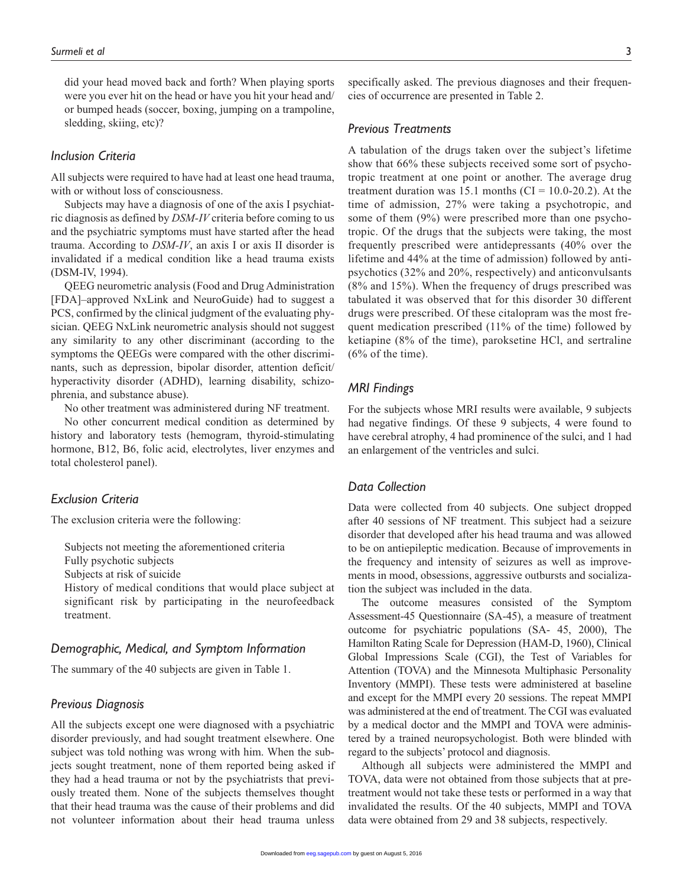did your head moved back and forth? When playing sports were you ever hit on the head or have you hit your head and/ or bumped heads (soccer, boxing, jumping on a trampoline, sledding, skiing, etc)?

#### *Inclusion Criteria*

All subjects were required to have had at least one head trauma, with or without loss of consciousness.

Subjects may have a diagnosis of one of the axis I psychiatric diagnosis as defined by *DSM-IV* criteria before coming to us and the psychiatric symptoms must have started after the head trauma. According to *DSM-IV*, an axis I or axis II disorder is invalidated if a medical condition like a head trauma exists (DSM-IV, 1994).

QEEG neurometric analysis (Food and Drug Administration [FDA]–approved NxLink and NeuroGuide) had to suggest a PCS, confirmed by the clinical judgment of the evaluating physician. QEEG NxLink neurometric analysis should not suggest any similarity to any other discriminant (according to the symptoms the QEEGs were compared with the other discriminants, such as depression, bipolar disorder, attention deficit/ hyperactivity disorder (ADHD), learning disability, schizophrenia, and substance abuse).

No other treatment was administered during NF treatment.

No other concurrent medical condition as determined by history and laboratory tests (hemogram, thyroid-stimulating hormone, B12, B6, folic acid, electrolytes, liver enzymes and total cholesterol panel).

#### *Exclusion Criteria*

The exclusion criteria were the following:

Subjects not meeting the aforementioned criteria

Fully psychotic subjects

Subjects at risk of suicide

History of medical conditions that would place subject at significant risk by participating in the neurofeedback treatment.

#### *Demographic, Medical, and Symptom Information*

The summary of the 40 subjects are given in Table 1.

#### *Previous Diagnosis*

All the subjects except one were diagnosed with a psychiatric disorder previously, and had sought treatment elsewhere. One subject was told nothing was wrong with him. When the subjects sought treatment, none of them reported being asked if they had a head trauma or not by the psychiatrists that previously treated them. None of the subjects themselves thought that their head trauma was the cause of their problems and did not volunteer information about their head trauma unless

specifically asked. The previous diagnoses and their frequencies of occurrence are presented in Table 2.

#### *Previous Treatments*

A tabulation of the drugs taken over the subject's lifetime show that 66% these subjects received some sort of psychotropic treatment at one point or another. The average drug treatment duration was 15.1 months (CI =  $10.0\n-20.2$ ). At the time of admission, 27% were taking a psychotropic, and some of them (9%) were prescribed more than one psychotropic. Of the drugs that the subjects were taking, the most frequently prescribed were antidepressants (40% over the lifetime and 44% at the time of admission) followed by antipsychotics (32% and 20%, respectively) and anticonvulsants (8% and 15%). When the frequency of drugs prescribed was tabulated it was observed that for this disorder 30 different drugs were prescribed. Of these citalopram was the most frequent medication prescribed (11% of the time) followed by ketiapine (8% of the time), paroksetine HCl, and sertraline  $(6\% \text{ of the time}).$ 

#### *MRI Findings*

For the subjects whose MRI results were available, 9 subjects had negative findings. Of these 9 subjects, 4 were found to have cerebral atrophy, 4 had prominence of the sulci, and 1 had an enlargement of the ventricles and sulci.

# *Data Collection*

Data were collected from 40 subjects. One subject dropped after 40 sessions of NF treatment. This subject had a seizure disorder that developed after his head trauma and was allowed to be on antiepileptic medication. Because of improvements in the frequency and intensity of seizures as well as improvements in mood, obsessions, aggressive outbursts and socialization the subject was included in the data.

The outcome measures consisted of the Symptom Assessment-45 Questionnaire (SA-45), a measure of treatment outcome for psychiatric populations (SA- 45, 2000), The Hamilton Rating Scale for Depression (HAM-D, 1960), Clinical Global Impressions Scale (CGI), the Test of Variables for Attention (TOVA) and the Minnesota Multiphasic Personality Inventory (MMPI). These tests were administered at baseline and except for the MMPI every 20 sessions. The repeat MMPI was administered at the end of treatment. The CGI was evaluated by a medical doctor and the MMPI and TOVA were administered by a trained neuropsychologist. Both were blinded with regard to the subjects' protocol and diagnosis.

Although all subjects were administered the MMPI and TOVA, data were not obtained from those subjects that at pretreatment would not take these tests or performed in a way that invalidated the results. Of the 40 subjects, MMPI and TOVA data were obtained from 29 and 38 subjects, respectively.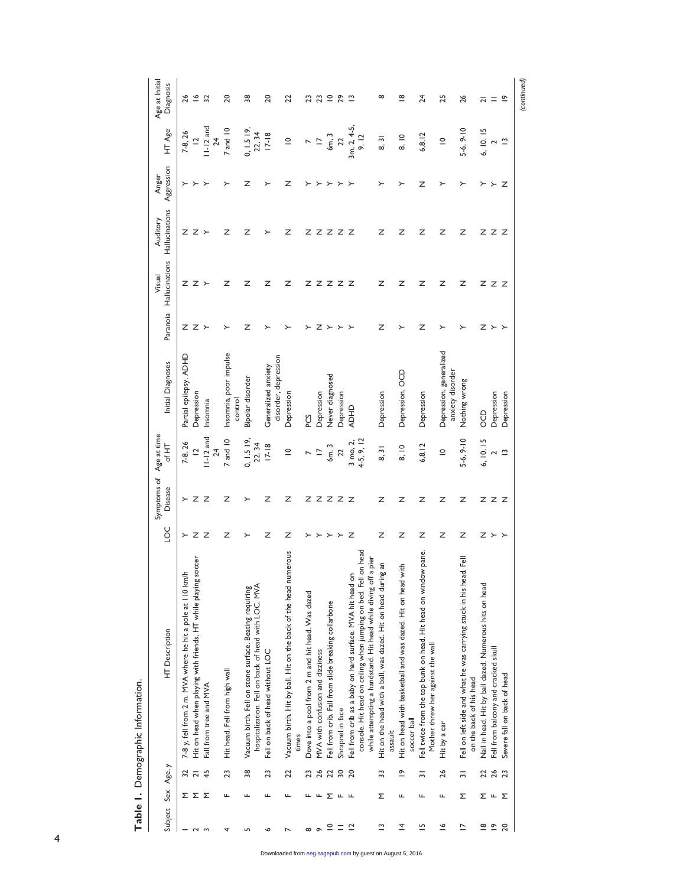| Subject                  | Sex Age, y |                | HT Description                                                                                                                                                                                                  | $\overline{O}$   | Symptoms of Age at time<br>Disease | of HT                  | Initial Diagnoses                           |                  | Paranoia Hallucinations<br>Visual | Hallucinations<br>Auditory | Aggression<br>Anger | HT Age                | Age at Initial<br>Diagnosis |
|--------------------------|------------|----------------|-----------------------------------------------------------------------------------------------------------------------------------------------------------------------------------------------------------------|------------------|------------------------------------|------------------------|---------------------------------------------|------------------|-----------------------------------|----------------------------|---------------------|-----------------------|-----------------------------|
| -                        |            | 32             | 7-8 y, fell from 2 m. MVA where he hit a pole at 110 km/h                                                                                                                                                       | ≻                |                                    | 7-8, 26                | Partial epilepsy, ADHD                      | Z                |                                   |                            | ≻                   | 7-8, 26               | 26                          |
| $\sim$                   | ΣΣΣ        | $\overline{z}$ | Hit on head when playing with friends, HT while playing soccer                                                                                                                                                  |                  | $\succ$ Z Z                        | $\tilde{=}$            | Depression                                  | $z \succ$        | $Z$ $Z$ $\succ$                   | $Z$ $Z$ $\succ$            | ≻                   |                       | $\tilde{=}$                 |
| 3                        |            | $\frac{4}{5}$  | Fall from tree and MVA                                                                                                                                                                                          | z z              |                                    | $l - l2$ and<br>24     | Insomnia                                    |                  |                                   |                            | ≻                   | $l-12$ and<br>24      | 32                          |
| 4                        | щ          | 23             | Hit head. Fell from high wall                                                                                                                                                                                   | z                | Z                                  | 7 and 10               | Insomnia, poor impulse<br>control           | ≻                | z                                 | z                          |                     | 7 and 10              | 20                          |
| S                        | щ          | 38             | Vacuum birth. Fell on stone surface. Beating requiring<br>hospitalization. Fell on back of head with LOC. MVA                                                                                                   |                  | ≻                                  | 0, 1.519,<br>22, 34    | Bipolar disorder                            | z                | z                                 | z                          | z                   | $0, 1.5$ 19<br>22, 34 | 38                          |
| P                        | щ          | 23             | Fell on back of head without LOC                                                                                                                                                                                | z                | Z                                  | $17 - 18$              | disorder, depression<br>Generalized anxiety | ≻                | z                                 | ≻                          |                     | $17 - 18$             | 20                          |
| N                        | щ          | 22             | Vacuum birth. Hit by ball. Hit on the back of the head numerous<br>times                                                                                                                                        | z                | Z                                  | $\subseteq$            | Depression                                  | ≻                | Z                                 | z                          | z                   | $\subseteq$           | 22                          |
| $\infty$                 | щ          | 23             | Dove into a pool from 2 m and hit head. Was dazed                                                                                                                                                               | ≻                | Z                                  | $\overline{ }$         | <b>SO</b>                                   | ≻                |                                   | z                          | ≻                   | $\overline{ }$        | ని                          |
| $\sigma$                 | Щ          | 26             | MVA with confusion and dizziness                                                                                                                                                                                | $\succ$          | Ζ                                  | $\overline{a}$         | Depression                                  | Z                | Z Z                               | Z                          | ≻                   | $\overline{a}$        | 23                          |
| $\subseteq$              | Σ          | $\overline{2}$ | Fell from crib. Fall from slide breaking collarbone                                                                                                                                                             | $\left. \right.$ | $\mathbb Z$                        | 6m, 3                  | Never diagnosed                             | $\succ$          | $\mathbb Z$                       | $\mathbb Z$                | ≻                   | 6m, 3                 | ≌                           |
| $\equiv$                 | ட்ட        | $30\,$         | Shrapnel in face                                                                                                                                                                                                | $\succ$          | z z                                | 22                     | Depression                                  | $\left. \right.$ | z z                               | z z                        | ≻                   | $\overline{2}$        | $^{29}$                     |
| $\approx$                |            | 20             | console. Hit head on ceiling when jumping on bed. Fell on head<br>off a pier<br>$\overline{5}$<br>Fell from crib as a baby on hard surface. MVA hit head<br>while attempting a handstand. Hit head while diving | Ζ                |                                    | 4-5, 9, 12<br>3 mo, 2, | <b>ADHD</b>                                 | ≻                |                                   |                            |                     | 3m, 2, 4-5,<br>9, 12  | ≃                           |
| $\tilde{ }$              | Σ          | 33             | Hit on the head with a ball, was dazed. Hit on head during an<br>assault                                                                                                                                        | z                | Z                                  | $\overline{5}$<br>ထ    | Depression                                  | z                | Z                                 | z                          |                     | ᆕ<br>ထ                | ∞                           |
| $\overline{4}$           | щ          | $\tilde{e}$    | Hit on head with basketball and was dazed. Hit on head with<br>soccer ball                                                                                                                                      | Z                | Z                                  | 8,10                   | Depression, OCD                             | ≻                | Z                                 | z                          |                     | 8,10                  | ≌                           |
| $\overline{5}$           | щ          | $\overline{5}$ | Fell twice from the top bunk on head. Hit head on window pane.<br>Mother threw her against the wall                                                                                                             | z                | Z                                  | 6, 8, 12               | Depression                                  | z                | Z                                 | z                          | z                   | 6,8,12                | 24                          |
| $\tilde{=}$              | щ          | 26             | Hit by a car                                                                                                                                                                                                    | Z                | Z                                  | $\subseteq$            | Depression, generalized<br>anxiety disorder | ≻                | Z                                 | z                          |                     | $\overline{a}$        | 25                          |
| $\overline{\phantom{0}}$ | Σ          | $\overline{5}$ | Fell on left side and what he was carrying stuck in his head. Fell<br>on the back of his head                                                                                                                   | Z                | Z                                  | $5-6, 9-10$            | Nothing wrong                               | ≻                | Z                                 | Z                          | ≻                   | 5-6, 9-10             | 26                          |
| $\overset{\infty}{=}$    | Σ          | 22             | Nail in head. Hit by ball dazed. Numerous hits on head                                                                                                                                                          |                  |                                    | 6, 10. 15              | OCD                                         | z                |                                   |                            |                     | 6, 10. 15             | న                           |
| $\tilde{=}$              | $L \Sigma$ | 26             | Fell from balcony and cracked skull                                                                                                                                                                             | $z \succ$        | z z z                              | 2                      | Depression                                  | $\succ$          | z z z                             | z z z                      | ≻                   | 2                     | Ξ                           |
| 20                       |            | 23             | Severe fall on back of head                                                                                                                                                                                     | ≻                |                                    | $\tilde{ }$            | Depression                                  | $\rightarrow$    |                                   |                            | z                   | $\tilde{ }$           | $\tilde{=}$                 |
|                          |            |                |                                                                                                                                                                                                                 |                  |                                    |                        |                                             |                  |                                   |                            |                     |                       | (continued)                 |

Table 1. Demographic Information. **Table 1.** Demographic Information.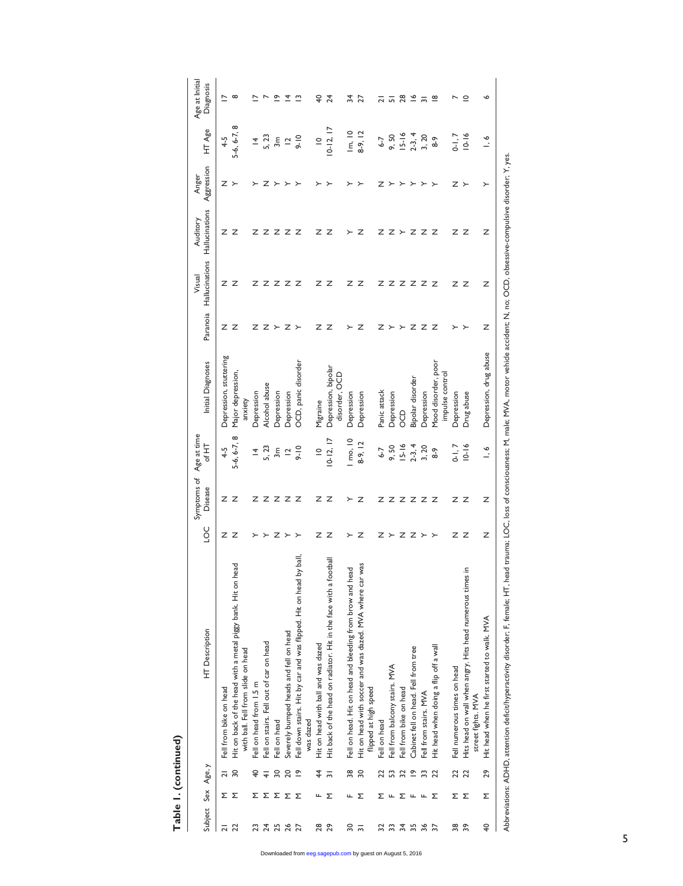|                    |   |                 |                                                                                                    |         | Symptoms of Age at time |                |                                        |          | Visual         | Auditory       | Anger      |                            | Age at Initial       |
|--------------------|---|-----------------|----------------------------------------------------------------------------------------------------|---------|-------------------------|----------------|----------------------------------------|----------|----------------|----------------|------------|----------------------------|----------------------|
| Subject Sex Age, y |   |                 | HT Description                                                                                     | or<br>O | Disease                 | of HT          | Initial Diagnoses                      | Paranoia | Hallucinations | Hallucinations | Aggression | HT Age                     | Diagnosis            |
| $\overline{2}$     | Σ | ಸ               | Fell from bike on head                                                                             | z       | Z                       | $4-5$          | Depression, stuttering                 | z        | z              | z              | z          | $4-5$                      | r                    |
| $\overline{2}$     | Σ | 30              | Hit on back of the head with a metal piggy bank. Hit on head<br>with ball. Fell from slide on head | z       | z                       | 5-6, 6-7, 8    | Major depression,<br>anxiety           | z        | z              | z              | ≻          | 5-6, 6-7, 8                | $\infty$             |
| 23                 | Σ | $\overline{a}$  | Fell on head from 1.5 m                                                                            | ≻       | z                       |                | Depression                             | z        | z              | z              |            |                            |                      |
| 24                 | Σ | $\frac{4}{1}$   | Fell on stairs. Fell out of car on head                                                            | $\succ$ | z                       | 5, 23          | Alcohol abuse                          | z        | z              | Ζ              | z          | 5, 23                      |                      |
| 25<br>26<br>27     | Σ | 50              | Fell on head                                                                                       | z       | Ζ                       | $\frac{5}{10}$ | Depression                             | ≻        | Z              | z z            | ≻          | 3m                         | $\overline{\bullet}$ |
|                    | Σ | $\overline{c}$  | Severely bumped heads and fell on head                                                             | ≻       | z                       | $\overline{a}$ | Depression                             | z        | z              |                | ≻          | $\overline{a}$             | ₫                    |
|                    | Σ | $\tilde{=}$     | Fell down stairs. Hit by car and was flipped. Hit on head by bal<br>was dazed                      | ≻       | z                       | $9 - 10$       | OCD, panic disorder                    | ≻        | z              | z              | ≻          | $9 - 10$                   | ≅                    |
| 28                 | щ | 4               | Hit on head with ball and was dazed                                                                | Z       | z                       | $\subseteq$    | Migraine                               | z        | z              | z              | >          | $\supseteq$                | 우                    |
| 29                 | Σ | ్               | Hit back of the head on radiator. Hit in the face with a footbal                                   | z       | z                       | $10 - 12, 17$  | Depression, bipolar<br>disorder, OCD   | z        | z              | z              | >          | $10-12, 17$                | 24                   |
| 50                 | щ | 38              | head<br>Fell on head. Hit on head and bleeding from brow and                                       | ≻       | ≻                       | 1 mo, 10       | Depression                             |          | z              | >              |            | $\mathsf{Im}, \mathsf{10}$ | 24                   |
| $\overline{5}$     | Σ | $\overline{30}$ | Hit on head with soccer and was dazed. MVA where car was<br>flipped at high speed                  | z       | z                       | 8-9, 12        | Depression                             | z        | z              | z              | ⋗          | 8-9, 12                    | 27                   |
| 32                 | Σ | 22              | Fell on head                                                                                       | z       | z                       | $6 - 7$        | Panic attack                           | Z        | z              | z              | z          | $6 - 7$                    | ಸ                    |
|                    | щ | S               | Fell from balcony stairs. MVA                                                                      | $\succ$ |                         | 9,50           | Depression                             | ≻        | Ζ              | Z >            | $\succ$    | 9,50                       | ,                    |
|                    | Σ | 32              | Fell from bike on head                                                                             | z       |                         | $\frac{15}{2}$ | OCD                                    | ≻        | $\mathbb Z$    |                | ≻          | $15 - 16$                  | 28                   |
| 33538              |   | ∘               | Cabinet fell on head. Fell from tree                                                               | z       | Z Z Z Z Z               | $2-3, 4$       | Bipolar disorder                       | Ζ        | z              | z z            | ≻          | $2-3, 4$                   | ≌                    |
|                    |   | 33              | Fell from stairs. MVA                                                                              | ≻       |                         | 3,20           | Depression                             | z        | z              |                | ≻          | 3, 20                      | ్                    |
| $\overline{5}$     | Σ | 22              | Hit head when doing a flip off a wall                                                              | $\succ$ |                         | 8.9            | Mood disorder, poor<br>impulse control | z        | z              | $\mathbb Z$    | ≻          | $8-9$                      | ≌                    |
| 38                 | Σ | 22              | Fell numerous times on head                                                                        |         | z                       | $0 - 1, 7$     | Depression                             |          |                |                | z          | $0 - 1, 7$                 |                      |
| $\overline{3}$     | Σ | 22              | mes in<br>Hits head on wall when angry. Hits head numerous tin<br>street fights. MVA               | zz      | z                       | $10 - 16$      | Drug abuse                             | ≻        | ΖZ             | z z            | ≻          | $10 - 16$                  | $\subseteq$          |
| $\overline{40}$    | Σ | 29              | Hit head when he first started to walk. MVA                                                        | z       | z                       | $\frac{6}{1}$  | Depression, drug abuse                 | z        | z              | z              | ≻          | $\frac{6}{1}$              | ∾                    |
|                    |   |                 |                                                                                                    |         |                         |                |                                        |          |                |                |            |                            |                      |

# Abbreviations: ADHD, attention deficit/hyperactivity disorder: F, female: HT, head trauma: LOC, loss of consciousness: M, male: MVA, motor vehicle accident: N, no: OCD, obsessive-compulsive disorder; Y, yes. Abbreviations: ADHD, attention deficit/hyperactivity disorder; F, female; HT, head trauma; LOC, loss of consciousness; M, male; MVA, motor vehicle accident; N, no; OCD, obsessive-compulsive disorder; Y, yes.

**Table 1.**

**(continued)**

Table 1. (continued)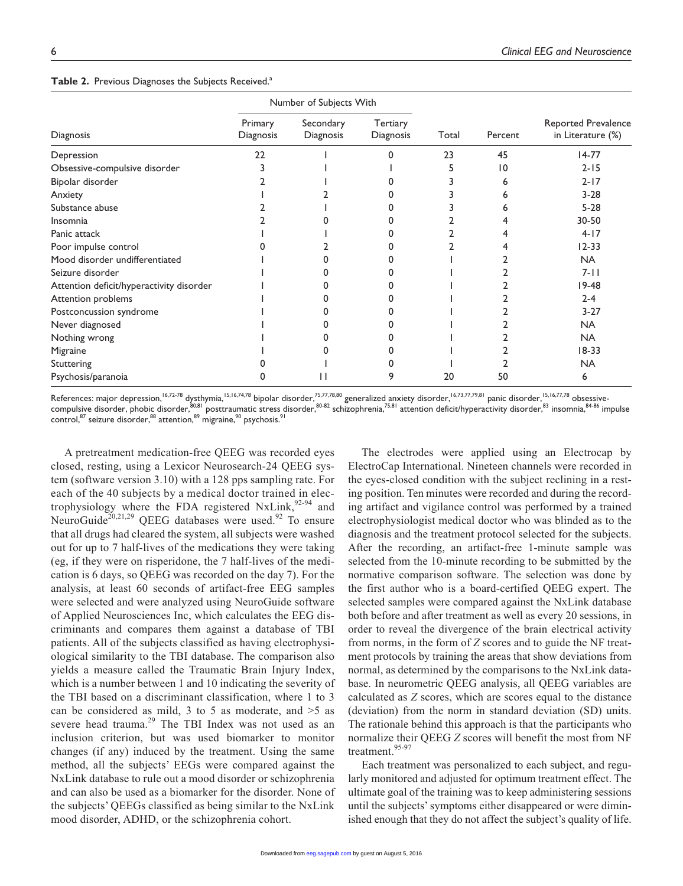#### Table 2. Previous Diagnoses the Subjects Received.<sup>a</sup>

|                                          |                      | Number of Subjects With |                       |       |         |                                          |
|------------------------------------------|----------------------|-------------------------|-----------------------|-------|---------|------------------------------------------|
| Diagnosis                                | Primary<br>Diagnosis | Secondary<br>Diagnosis  | Tertiary<br>Diagnosis | Total | Percent | Reported Prevalence<br>in Literature (%) |
| Depression                               | 22                   |                         |                       | 23    | 45      | $14-77$                                  |
| Obsessive-compulsive disorder            |                      |                         |                       |       | 0       | $2 - 15$                                 |
| Bipolar disorder                         |                      |                         |                       |       | h       | $2 - 17$                                 |
| Anxiety                                  |                      |                         |                       |       |         | $3-28$                                   |
| Substance abuse                          |                      |                         |                       |       |         | $5-28$                                   |
| Insomnia                                 |                      |                         |                       |       |         | 30-50                                    |
| Panic attack                             |                      |                         |                       |       |         | $4 - 17$                                 |
| Poor impulse control                     |                      |                         |                       |       |         | $12 - 33$                                |
| Mood disorder undifferentiated           |                      |                         |                       |       |         | <b>NA</b>                                |
| Seizure disorder                         |                      |                         |                       |       |         | $7 - 11$                                 |
| Attention deficit/hyperactivity disorder |                      |                         |                       |       |         | $19-48$                                  |
| Attention problems                       |                      |                         |                       |       |         | $2 - 4$                                  |
| Postconcussion syndrome                  |                      |                         |                       |       |         | $3-27$                                   |
| Never diagnosed                          |                      |                         |                       |       |         | <b>NA</b>                                |
| Nothing wrong                            |                      |                         |                       |       |         | <b>NA</b>                                |
| Migraine                                 |                      |                         |                       |       |         | $18-33$                                  |
| Stuttering                               |                      |                         |                       |       |         | <b>NA</b>                                |
| Psychosis/paranoia                       |                      |                         |                       | 20    | 50      | 6                                        |

References: major depression,<sup>16,72-78</sup> dysthymia,<sup>15,16,74,78</sup> bipolar disorder,<sup>75,77,78,80</sup> generalized anxiety disorder,<sup>16,73,77,79,81</sup> panic disorder,<sup>15,16,77,78</sup> obsessivecompulsive disorder, phobic disorder,<sup>80,81</sup> posttraumatic stress disorder,<sup>80-82</sup> schizophrenia,<sup>75,81</sup> attention deficit/hyperactivity disorder,<sup>83</sup> insomnia,<sup>84-86</sup> impulse control,<sup>87</sup> seizure disorder,<sup>88</sup> attention,<sup>89</sup> migraine,<sup>90</sup> psychosis.<sup>91</sup>

A pretreatment medication-free QEEG was recorded eyes closed, resting, using a Lexicor Neurosearch-24 QEEG system (software version 3.10) with a 128 pps sampling rate. For each of the 40 subjects by a medical doctor trained in electrophysiology where the FDA registered NxLink, $92-94$  and NeuroGuide<sup>20,21,29</sup> QEEG databases were used.<sup>92</sup> To ensure that all drugs had cleared the system, all subjects were washed out for up to 7 half-lives of the medications they were taking (eg, if they were on risperidone, the 7 half-lives of the medication is 6 days, so QEEG was recorded on the day 7). For the analysis, at least 60 seconds of artifact-free EEG samples were selected and were analyzed using NeuroGuide software of Applied Neurosciences Inc, which calculates the EEG discriminants and compares them against a database of TBI patients. All of the subjects classified as having electrophysiological similarity to the TBI database. The comparison also yields a measure called the Traumatic Brain Injury Index, which is a number between 1 and 10 indicating the severity of the TBI based on a discriminant classification, where 1 to 3 can be considered as mild, 3 to 5 as moderate, and >5 as severe head trauma.<sup>29</sup> The TBI Index was not used as an inclusion criterion, but was used biomarker to monitor changes (if any) induced by the treatment. Using the same method, all the subjects' EEGs were compared against the NxLink database to rule out a mood disorder or schizophrenia and can also be used as a biomarker for the disorder. None of the subjects' QEEGs classified as being similar to the NxLink mood disorder, ADHD, or the schizophrenia cohort.

The electrodes were applied using an Electrocap by ElectroCap International. Nineteen channels were recorded in the eyes-closed condition with the subject reclining in a resting position. Ten minutes were recorded and during the recording artifact and vigilance control was performed by a trained electrophysiologist medical doctor who was blinded as to the diagnosis and the treatment protocol selected for the subjects. After the recording, an artifact-free 1-minute sample was selected from the 10-minute recording to be submitted by the normative comparison software. The selection was done by the first author who is a board-certified QEEG expert. The selected samples were compared against the NxLink database both before and after treatment as well as every 20 sessions, in order to reveal the divergence of the brain electrical activity from norms, in the form of *Z* scores and to guide the NF treatment protocols by training the areas that show deviations from normal, as determined by the comparisons to the NxLink database. In neurometric QEEG analysis, all QEEG variables are calculated as *Z* scores, which are scores equal to the distance (deviation) from the norm in standard deviation (SD) units. The rationale behind this approach is that the participants who normalize their QEEG *Z* scores will benefit the most from NF treatment.<sup>95-97</sup>

Each treatment was personalized to each subject, and regularly monitored and adjusted for optimum treatment effect. The ultimate goal of the training was to keep administering sessions until the subjects' symptoms either disappeared or were diminished enough that they do not affect the subject's quality of life.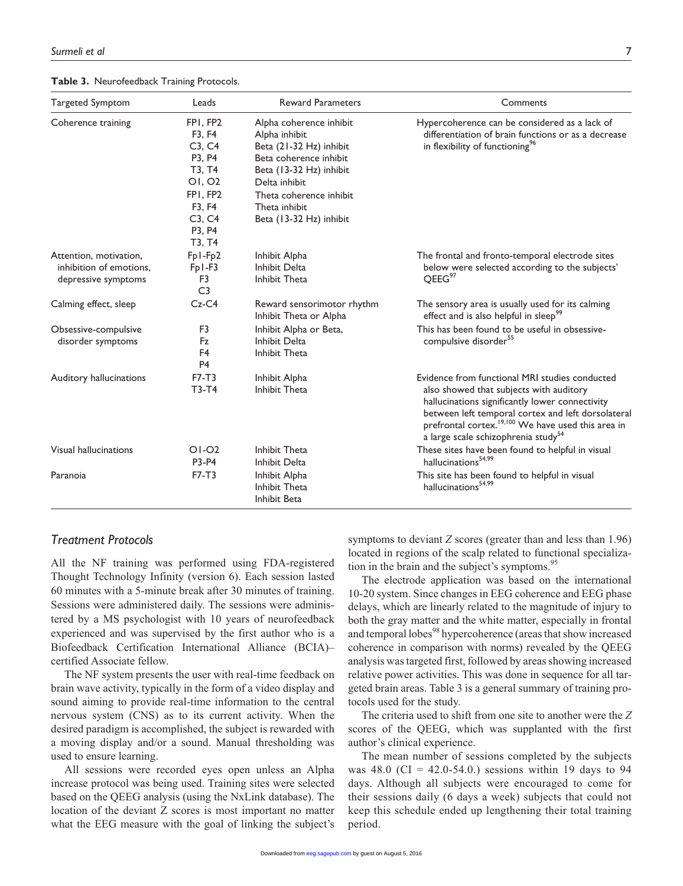#### **Table 3.** Neurofeedback Training Protocols.

| Targeted Symptom                                                         | Leads                                                                                                          | <b>Reward Parameters</b>                                                                                                                                                                                         | Comments                                                                                                                                                                                                                                                                                                                |
|--------------------------------------------------------------------------|----------------------------------------------------------------------------------------------------------------|------------------------------------------------------------------------------------------------------------------------------------------------------------------------------------------------------------------|-------------------------------------------------------------------------------------------------------------------------------------------------------------------------------------------------------------------------------------------------------------------------------------------------------------------------|
| Coherence training                                                       | FPI, FP2<br>F3, F4<br>C3, C4<br>P3, P4<br>T3, T4<br>OI. O2<br>FPI, FP2<br>F3, F4<br>C3, C4<br>P3, P4<br>T3, T4 | Alpha coherence inhibit<br>Alpha inhibit<br>Beta (21-32 Hz) inhibit<br>Beta coherence inhibit<br>Beta (13-32 Hz) inhibit<br>Delta inhibit<br>Theta coherence inhibit<br>Theta inhibit<br>Beta (13-32 Hz) inhibit | Hypercoherence can be considered as a lack of<br>differentiation of brain functions or as a decrease<br>in flexibility of functioning <sup>96</sup>                                                                                                                                                                     |
| Attention, motivation,<br>inhibition of emotions.<br>depressive symptoms | Fp1-Fp2<br>$Fp1-F3$<br>F <sub>3</sub><br>C <sub>3</sub>                                                        | Inhibit Alpha<br>Inhibit Delta<br>Inhibit Theta                                                                                                                                                                  | The frontal and fronto-temporal electrode sites<br>below were selected according to the subjects'<br>QEEG <sup>97</sup>                                                                                                                                                                                                 |
| Calming effect, sleep                                                    | $Cz-C4$                                                                                                        | Reward sensorimotor rhythm<br>Inhibit Theta or Alpha                                                                                                                                                             | The sensory area is usually used for its calming<br>effect and is also helpful in sleep <sup>99</sup>                                                                                                                                                                                                                   |
| Obsessive-compulsive<br>disorder symptoms                                | F <sub>3</sub><br>Fz<br>F <sub>4</sub><br>P <sub>4</sub>                                                       | Inhibit Alpha or Beta,<br>Inhibit Delta<br>Inhibit Theta                                                                                                                                                         | This has been found to be useful in obsessive-<br>compulsive disorder <sup>55</sup>                                                                                                                                                                                                                                     |
| Auditory hallucinations                                                  | F7-T3<br>$T3-T4$                                                                                               | Inhibit Alpha<br>Inhibit Theta                                                                                                                                                                                   | Evidence from functional MRI studies conducted<br>also showed that subjects with auditory<br>hallucinations significantly lower connectivity<br>between left temporal cortex and left dorsolateral<br>prefrontal cortex. <sup>19,100</sup> We have used this area in<br>a large scale schizophrenia study <sup>54</sup> |
| Visual hallucinations                                                    | $O I$ - $O2$<br>P3-P4                                                                                          | Inhibit Theta<br>Inhibit Delta                                                                                                                                                                                   | These sites have been found to helpful in visual<br>hallucinations <sup>54,99</sup>                                                                                                                                                                                                                                     |
| Paranoia                                                                 | $F7-T3$                                                                                                        | Inhibit Alpha<br>Inhibit Theta<br>Inhibit Beta                                                                                                                                                                   | This site has been found to helpful in visual<br>hallucinations <sup>54,99</sup>                                                                                                                                                                                                                                        |

# *Treatment Protocols*

All the NF training was performed using FDA-registered Thought Technology Infinity (version 6). Each session lasted 60 minutes with a 5-minute break after 30 minutes of training. Sessions were administered daily. The sessions were administered by a MS psychologist with 10 years of neurofeedback experienced and was supervised by the first author who is a Biofeedback Certification International Alliance (BCIA)– certified Associate fellow.

The NF system presents the user with real-time feedback on brain wave activity, typically in the form of a video display and sound aiming to provide real-time information to the central nervous system (CNS) as to its current activity. When the desired paradigm is accomplished, the subject is rewarded with a moving display and/or a sound. Manual thresholding was used to ensure learning.

All sessions were recorded eyes open unless an Alpha increase protocol was being used. Training sites were selected based on the QEEG analysis (using the NxLink database). The location of the deviant Z scores is most important no matter what the EEG measure with the goal of linking the subject's

symptoms to deviant *Z* scores (greater than and less than 1.96) located in regions of the scalp related to functional specialization in the brain and the subject's symptoms.<sup>95</sup>

The electrode application was based on the international 10-20 system. Since changes in EEG coherence and EEG phase delays, which are linearly related to the magnitude of injury to both the gray matter and the white matter, especially in frontal and temporal lobes<sup>98</sup> hypercoherence (areas that show increased coherence in comparison with norms) revealed by the QEEG analysis was targeted first, followed by areas showing increased relative power activities. This was done in sequence for all targeted brain areas. Table 3 is a general summary of training protocols used for the study.

The criteria used to shift from one site to another were the *Z* scores of the QEEG, which was supplanted with the first author's clinical experience.

The mean number of sessions completed by the subjects was 48.0 (CI = 42.0-54.0.) sessions within 19 days to 94 days. Although all subjects were encouraged to come for their sessions daily (6 days a week) subjects that could not keep this schedule ended up lengthening their total training period.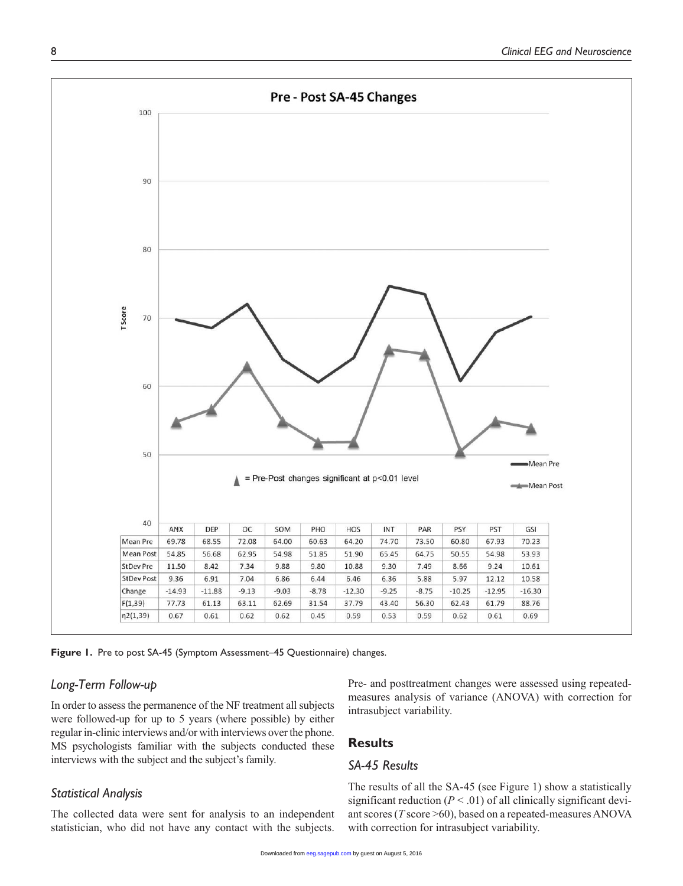

**Figure 1.** Pre to post SA-45 (Symptom Assessment–45 Questionnaire) changes.

# *Long-Term Follow-up*

In order to assess the permanence of the NF treatment all subjects were followed-up for up to 5 years (where possible) by either regular in-clinic interviews and/or with interviews over the phone. MS psychologists familiar with the subjects conducted these interviews with the subject and the subject's family.

# *Statistical Analysis*

The collected data were sent for analysis to an independent statistician, who did not have any contact with the subjects.

Pre- and posttreatment changes were assessed using repeatedmeasures analysis of variance (ANOVA) with correction for intrasubject variability.

# **Results**

# *SA-45 Results*

The results of all the SA-45 (see Figure 1) show a statistically significant reduction  $(P < .01)$  of all clinically significant deviant scores (*T* score >60), based on a repeated-measures ANOVA with correction for intrasubject variability.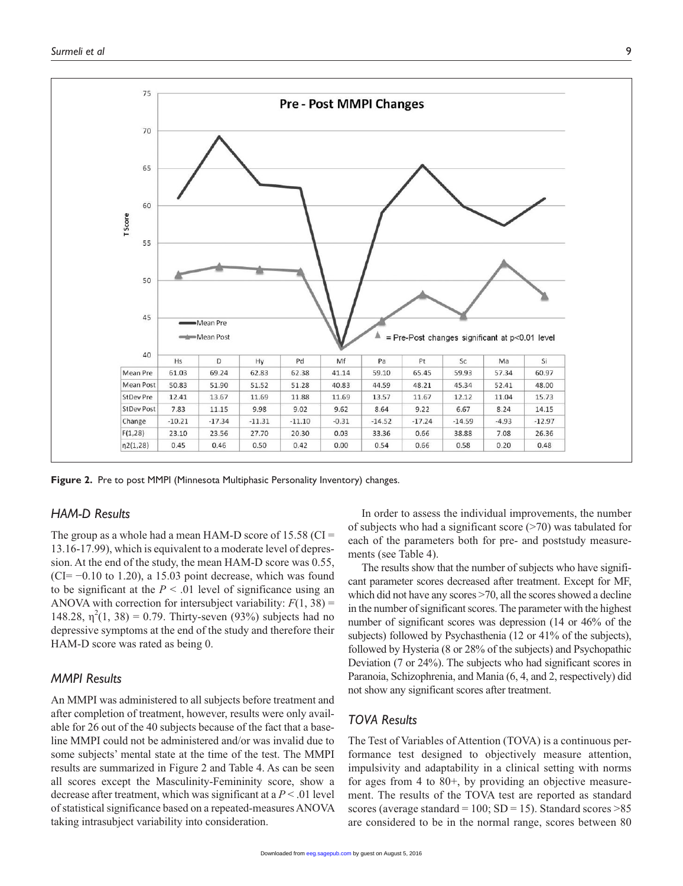

**Figure 2.** Pre to post MMPI (Minnesota Multiphasic Personality Inventory) changes.

#### *HAM-D Results*

The group as a whole had a mean HAM-D score of  $15.58$  (CI = 13.16-17.99), which is equivalent to a moderate level of depression. At the end of the study, the mean HAM-D score was 0.55, (CI= $-0.10$  to 1.20), a 15.03 point decrease, which was found to be significant at the  $P < .01$  level of significance using an ANOVA with correction for intersubject variability:  $F(1, 38) =$ 148.28,  $\eta^2(1, 38) = 0.79$ . Thirty-seven (93%) subjects had no depressive symptoms at the end of the study and therefore their HAM-D score was rated as being 0.

#### *MMPI Results*

An MMPI was administered to all subjects before treatment and after completion of treatment, however, results were only available for 26 out of the 40 subjects because of the fact that a baseline MMPI could not be administered and/or was invalid due to some subjects' mental state at the time of the test. The MMPI results are summarized in Figure 2 and Table 4. As can be seen all scores except the Masculinity-Femininity score, show a decrease after treatment, which was significant at a  $P < 01$  level of statistical significance based on a repeated-measures ANOVA taking intrasubject variability into consideration.

In order to assess the individual improvements, the number of subjects who had a significant score (>70) was tabulated for each of the parameters both for pre- and poststudy measurements (see Table 4).

The results show that the number of subjects who have significant parameter scores decreased after treatment. Except for MF, which did not have any scores >70, all the scores showed a decline in the number of significant scores. The parameter with the highest number of significant scores was depression (14 or 46% of the subjects) followed by Psychasthenia (12 or 41% of the subjects), followed by Hysteria (8 or 28% of the subjects) and Psychopathic Deviation (7 or 24%). The subjects who had significant scores in Paranoia, Schizophrenia, and Mania (6, 4, and 2, respectively) did not show any significant scores after treatment.

# *TOVA Results*

The Test of Variables of Attention (TOVA) is a continuous performance test designed to objectively measure attention, impulsivity and adaptability in a clinical setting with norms for ages from 4 to 80+, by providing an objective measurement. The results of the TOVA test are reported as standard scores (average standard = 100;  $SD = 15$ ). Standard scores > 85 are considered to be in the normal range, scores between 80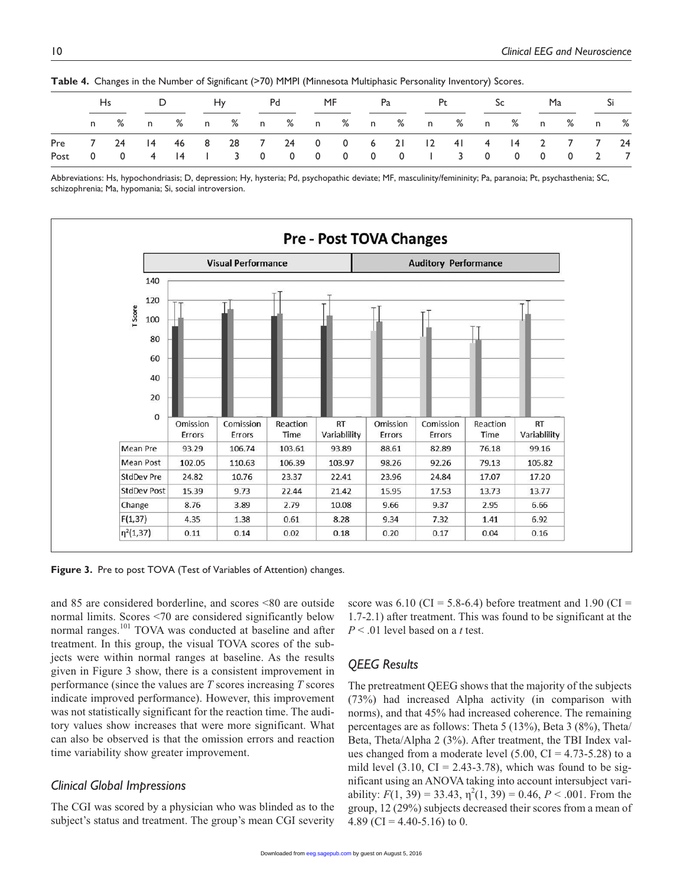| rabic in Shanges in the Planneer of Symmetric (1797 in in Firminessed Plansphasic Personality inventor ff secrets. |                                     |  |           |    |    |  |    |    |  |    |         |  |
|--------------------------------------------------------------------------------------------------------------------|-------------------------------------|--|-----------|----|----|--|----|----|--|----|---------|--|
|                                                                                                                    | Hs.                                 |  | <b>Hy</b> | Pd | MF |  | Pa | Pt |  | Ma |         |  |
|                                                                                                                    | n % n % n % n % n % n % n % n % n % |  |           |    |    |  |    |    |  |    |         |  |
| Pre 7 24 14 46 8 28 7 24 0 0 6 21 12 41 4 14 2 7 7 24                                                              |                                     |  |           |    |    |  |    |    |  |    |         |  |
| Post                                                                                                               | 0 0 4 14 1 3 0 0 0 0 0 0 1 3 0 0    |  |           |    |    |  |    |    |  |    | 0 0 2 7 |  |

**Table 4.** Changes in the Number of Significant (>70) MMPI (Minnesota Multiphasic Personality Inventory) Scores.

Abbreviations: Hs, hypochondriasis; D, depression; Hy, hysteria; Pd, psychopathic deviate; MF, masculinity/femininity; Pa, paranoia; Pt, psychasthenia; SC, schizophrenia; Ma, hypomania; Si, social introversion.



**Figure 3.** Pre to post TOVA (Test of Variables of Attention) changes.

and 85 are considered borderline, and scores <80 are outside normal limits. Scores <70 are considered significantly below normal ranges.<sup>101</sup> TOVA was conducted at baseline and after treatment. In this group, the visual TOVA scores of the subjects were within normal ranges at baseline. As the results given in Figure 3 show, there is a consistent improvement in performance (since the values are *T* scores increasing *T* scores indicate improved performance). However, this improvement was not statistically significant for the reaction time. The auditory values show increases that were more significant. What can also be observed is that the omission errors and reaction time variability show greater improvement.

# *Clinical Global Impressions*

The CGI was scored by a physician who was blinded as to the subject's status and treatment. The group's mean CGI severity

score was  $6.10$  (CI = 5.8-6.4) before treatment and 1.90 (CI = 1.7-2.1) after treatment. This was found to be significant at the *P* < .01 level based on a *t* test.

# *QEEG Results*

The pretreatment QEEG shows that the majority of the subjects (73%) had increased Alpha activity (in comparison with norms), and that 45% had increased coherence. The remaining percentages are as follows: Theta 5 (13%), Beta 3 (8%), Theta/ Beta, Theta/Alpha 2 (3%). After treatment, the TBI Index values changed from a moderate level  $(5.00, CI = 4.73-5.28)$  to a mild level  $(3.10, CI = 2.43-3.78)$ , which was found to be significant using an ANOVA taking into account intersubject variability:  $F(1, 39) = 33.43$ ,  $\eta^2(1, 39) = 0.46$ ,  $P < .001$ . From the group, 12 (29%) subjects decreased their scores from a mean of 4.89 (CI = 4.40-5.16) to 0.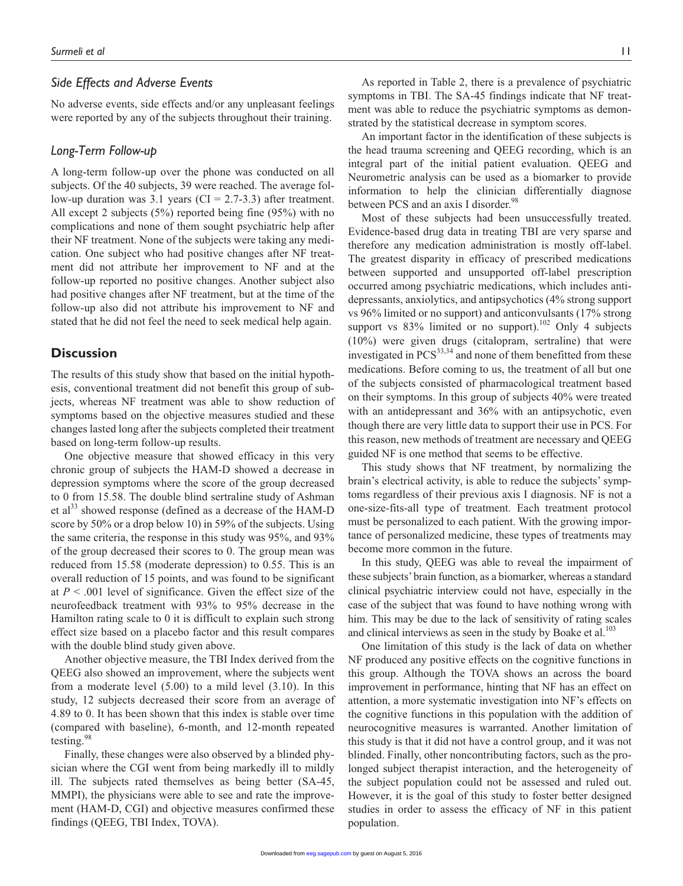#### *Side Effects and Adverse Events*

No adverse events, side effects and/or any unpleasant feelings were reported by any of the subjects throughout their training.

# *Long-Term Follow-up*

A long-term follow-up over the phone was conducted on all subjects. Of the 40 subjects, 39 were reached. The average follow-up duration was 3.1 years (CI =  $2.7-3.3$ ) after treatment. All except 2 subjects (5%) reported being fine (95%) with no complications and none of them sought psychiatric help after their NF treatment. None of the subjects were taking any medication. One subject who had positive changes after NF treatment did not attribute her improvement to NF and at the follow-up reported no positive changes. Another subject also had positive changes after NF treatment, but at the time of the follow-up also did not attribute his improvement to NF and stated that he did not feel the need to seek medical help again.

#### **Discussion**

The results of this study show that based on the initial hypothesis, conventional treatment did not benefit this group of subjects, whereas NF treatment was able to show reduction of symptoms based on the objective measures studied and these changes lasted long after the subjects completed their treatment based on long-term follow-up results.

One objective measure that showed efficacy in this very chronic group of subjects the HAM-D showed a decrease in depression symptoms where the score of the group decreased to 0 from 15.58. The double blind sertraline study of Ashman et al<sup>33</sup> showed response (defined as a decrease of the HAM-D score by 50% or a drop below 10) in 59% of the subjects. Using the same criteria, the response in this study was 95%, and 93% of the group decreased their scores to 0. The group mean was reduced from 15.58 (moderate depression) to 0.55. This is an overall reduction of 15 points, and was found to be significant at  $P \leq 0.001$  level of significance. Given the effect size of the neurofeedback treatment with 93% to 95% decrease in the Hamilton rating scale to 0 it is difficult to explain such strong effect size based on a placebo factor and this result compares with the double blind study given above.

Another objective measure, the TBI Index derived from the QEEG also showed an improvement, where the subjects went from a moderate level (5.00) to a mild level (3.10). In this study, 12 subjects decreased their score from an average of 4.89 to 0. It has been shown that this index is stable over time (compared with baseline), 6-month, and 12-month repeated testing.<sup>98</sup>

Finally, these changes were also observed by a blinded physician where the CGI went from being markedly ill to mildly ill. The subjects rated themselves as being better (SA-45, MMPI), the physicians were able to see and rate the improvement (HAM-D, CGI) and objective measures confirmed these findings (QEEG, TBI Index, TOVA).

As reported in Table 2, there is a prevalence of psychiatric symptoms in TBI. The SA-45 findings indicate that NF treatment was able to reduce the psychiatric symptoms as demonstrated by the statistical decrease in symptom scores.

An important factor in the identification of these subjects is the head trauma screening and QEEG recording, which is an integral part of the initial patient evaluation. QEEG and Neurometric analysis can be used as a biomarker to provide information to help the clinician differentially diagnose between PCS and an axis I disorder.<sup>98</sup>

Most of these subjects had been unsuccessfully treated. Evidence-based drug data in treating TBI are very sparse and therefore any medication administration is mostly off-label. The greatest disparity in efficacy of prescribed medications between supported and unsupported off-label prescription occurred among psychiatric medications, which includes antidepressants, anxiolytics, and antipsychotics (4% strong support vs 96% limited or no support) and anticonvulsants (17% strong support vs  $83\%$  limited or no support).<sup>102</sup> Only 4 subjects (10%) were given drugs (citalopram, sertraline) that were investigated in  $PCS<sup>33,34</sup>$  and none of them benefitted from these medications. Before coming to us, the treatment of all but one of the subjects consisted of pharmacological treatment based on their symptoms. In this group of subjects 40% were treated with an antidepressant and 36% with an antipsychotic, even though there are very little data to support their use in PCS. For this reason, new methods of treatment are necessary and QEEG guided NF is one method that seems to be effective.

This study shows that NF treatment, by normalizing the brain's electrical activity, is able to reduce the subjects' symptoms regardless of their previous axis I diagnosis. NF is not a one-size-fits-all type of treatment. Each treatment protocol must be personalized to each patient. With the growing importance of personalized medicine, these types of treatments may become more common in the future.

In this study, QEEG was able to reveal the impairment of these subjects' brain function, as a biomarker, whereas a standard clinical psychiatric interview could not have, especially in the case of the subject that was found to have nothing wrong with him. This may be due to the lack of sensitivity of rating scales and clinical interviews as seen in the study by Boake et al. $103$ 

One limitation of this study is the lack of data on whether NF produced any positive effects on the cognitive functions in this group. Although the TOVA shows an across the board improvement in performance, hinting that NF has an effect on attention, a more systematic investigation into NF's effects on the cognitive functions in this population with the addition of neurocognitive measures is warranted. Another limitation of this study is that it did not have a control group, and it was not blinded. Finally, other noncontributing factors, such as the prolonged subject therapist interaction, and the heterogeneity of the subject population could not be assessed and ruled out. However, it is the goal of this study to foster better designed studies in order to assess the efficacy of NF in this patient population.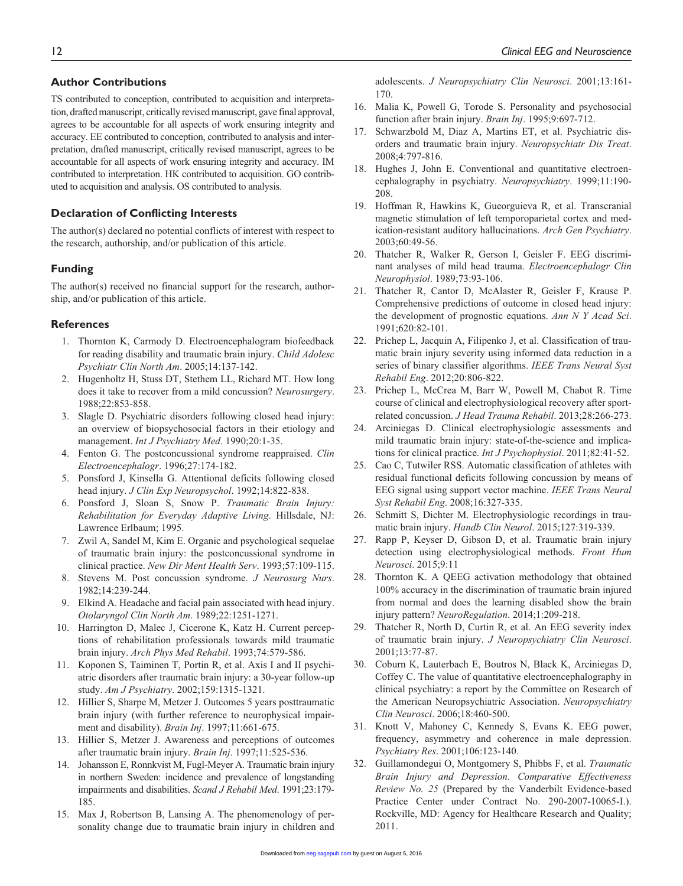#### **Author Contributions**

TS contributed to conception, contributed to acquisition and interpretation, drafted manuscript, critically revised manuscript, gave final approval, agrees to be accountable for all aspects of work ensuring integrity and accuracy. EE contributed to conception, contributed to analysis and interpretation, drafted manuscript, critically revised manuscript, agrees to be accountable for all aspects of work ensuring integrity and accuracy. IM contributed to interpretation. HK contributed to acquisition. GO contributed to acquisition and analysis. OS contributed to analysis.

#### **Declaration of Conflicting Interests**

The author(s) declared no potential conflicts of interest with respect to the research, authorship, and/or publication of this article.

#### **Funding**

The author(s) received no financial support for the research, authorship, and/or publication of this article.

#### **References**

- 1. Thornton K, Carmody D. Electroencephalogram biofeedback for reading disability and traumatic brain injury. *Child Adolesc Psychiatr Clin North Am*. 2005;14:137-142.
- 2. Hugenholtz H, Stuss DT, Stethem LL, Richard MT. How long does it take to recover from a mild concussion? *Neurosurgery*. 1988;22:853-858.
- 3. Slagle D. Psychiatric disorders following closed head injury: an overview of biopsychosocial factors in their etiology and management. *Int J Psychiatry Med*. 1990;20:1-35.
- 4. Fenton G. The postconcussional syndrome reappraised. *Clin Electroencephalogr*. 1996;27:174-182.
- 5. Ponsford J, Kinsella G. Attentional deficits following closed head injury. *J Clin Exp Neuropsychol*. 1992;14:822-838.
- 6. Ponsford J, Sloan S, Snow P. *Traumatic Brain Injury: Rehabilitation for Everyday Adaptive Living*. Hillsdale, NJ: Lawrence Erlbaum; 1995.
- 7. Zwil A, Sandel M, Kim E. Organic and psychological sequelae of traumatic brain injury: the postconcussional syndrome in clinical practice. *New Dir Ment Health Serv*. 1993;57:109-115.
- 8. Stevens M. Post concussion syndrome. *J Neurosurg Nurs*. 1982;14:239-244.
- 9. Elkind A. Headache and facial pain associated with head injury. *Otolaryngol Clin North Am*. 1989;22:1251-1271.
- 10. Harrington D, Malec J, Cicerone K, Katz H. Current perceptions of rehabilitation professionals towards mild traumatic brain injury. *Arch Phys Med Rehabil*. 1993;74:579-586.
- 11. Koponen S, Taiminen T, Portin R, et al. Axis I and II psychiatric disorders after traumatic brain injury: a 30-year follow-up study. *Am J Psychiatry*. 2002;159:1315-1321.
- 12. Hillier S, Sharpe M, Metzer J. Outcomes 5 years posttraumatic brain injury (with further reference to neurophysical impairment and disability). *Brain Inj*. 1997;11:661-675.
- 13. Hillier S, Metzer J. Awareness and perceptions of outcomes after traumatic brain injury. *Brain Inj*. 1997;11:525-536.
- 14. Johansson E, Ronnkvist M, Fugl-Meyer A. Traumatic brain injury in northern Sweden: incidence and prevalence of longstanding impairments and disabilities. *Scand J Rehabil Med*. 1991;23:179- 185.
- 15. Max J, Robertson B, Lansing A. The phenomenology of personality change due to traumatic brain injury in children and

adolescents. *J Neuropsychiatry Clin Neurosci*. 2001;13:161- 170.

- 16. Malia K, Powell G, Torode S. Personality and psychosocial function after brain injury. *Brain Inj*. 1995;9:697-712.
- 17. Schwarzbold M, Diaz A, Martins ET, et al. Psychiatric disorders and traumatic brain injury. *Neuropsychiatr Dis Treat*. 2008;4:797-816.
- 18. Hughes J, John E. Conventional and quantitative electroencephalography in psychiatry. *Neuropsychiatry*. 1999;11:190- 208.
- 19. Hoffman R, Hawkins K, Gueorguieva R, et al. Transcranial magnetic stimulation of left temporoparietal cortex and medication-resistant auditory hallucinations. *Arch Gen Psychiatry*. 2003;60:49-56.
- 20. Thatcher R, Walker R, Gerson I, Geisler F. EEG discriminant analyses of mild head trauma. *Electroencephalogr Clin Neurophysiol*. 1989;73:93-106.
- 21. Thatcher R, Cantor D, McAlaster R, Geisler F, Krause P. Comprehensive predictions of outcome in closed head injury: the development of prognostic equations. *Ann N Y Acad Sci*. 1991;620:82-101.
- 22. Prichep L, Jacquin A, Filipenko J, et al. Classification of traumatic brain injury severity using informed data reduction in a series of binary classifier algorithms. *IEEE Trans Neural Syst Rehabil Eng*. 2012;20:806-822.
- 23. Prichep L, McCrea M, Barr W, Powell M, Chabot R. Time course of clinical and electrophysiological recovery after sportrelated concussion. *J Head Trauma Rehabil*. 2013;28:266-273.
- 24. Arciniegas D. Clinical electrophysiologic assessments and mild traumatic brain injury: state-of-the-science and implications for clinical practice. *Int J Psychophysiol*. 2011;82:41-52.
- 25. Cao C, Tutwiler RSS. Automatic classification of athletes with residual functional deficits following concussion by means of EEG signal using support vector machine. *IEEE Trans Neural Syst Rehabil Eng*. 2008;16:327-335.
- 26. Schmitt S, Dichter M. Electrophysiologic recordings in traumatic brain injury. *Handb Clin Neurol*. 2015;127:319-339.
- 27. Rapp P, Keyser D, Gibson D, et al. Traumatic brain injury detection using electrophysiological methods. *Front Hum Neurosci*. 2015;9:11
- 28. Thornton K. A QEEG activation methodology that obtained 100% accuracy in the discrimination of traumatic brain injured from normal and does the learning disabled show the brain injury pattern? *NeuroRegulation*. 2014;1:209-218.
- 29. Thatcher R, North D, Curtin R, et al. An EEG severity index of traumatic brain injury. *J Neuropsychiatry Clin Neurosci*. 2001;13:77-87.
- 30. Coburn K, Lauterbach E, Boutros N, Black K, Arciniegas D, Coffey C. The value of quantitative electroencephalography in clinical psychiatry: a report by the Committee on Research of the American Neuropsychiatric Association. *Neuropsychiatry Clin Neurosci*. 2006;18:460-500.
- 31. Knott V, Mahoney C, Kennedy S, Evans K. EEG power, frequency, asymmetry and coherence in male depression. *Psychiatry Res*. 2001;106:123-140.
- 32. Guillamondegui O, Montgomery S, Phibbs F, et al. *Traumatic Brain Injury and Depression. Comparative Effectiveness Review No. 25* (Prepared by the Vanderbilt Evidence-based Practice Center under Contract No. 290-2007-10065-I.). Rockville, MD: Agency for Healthcare Research and Quality; 2011.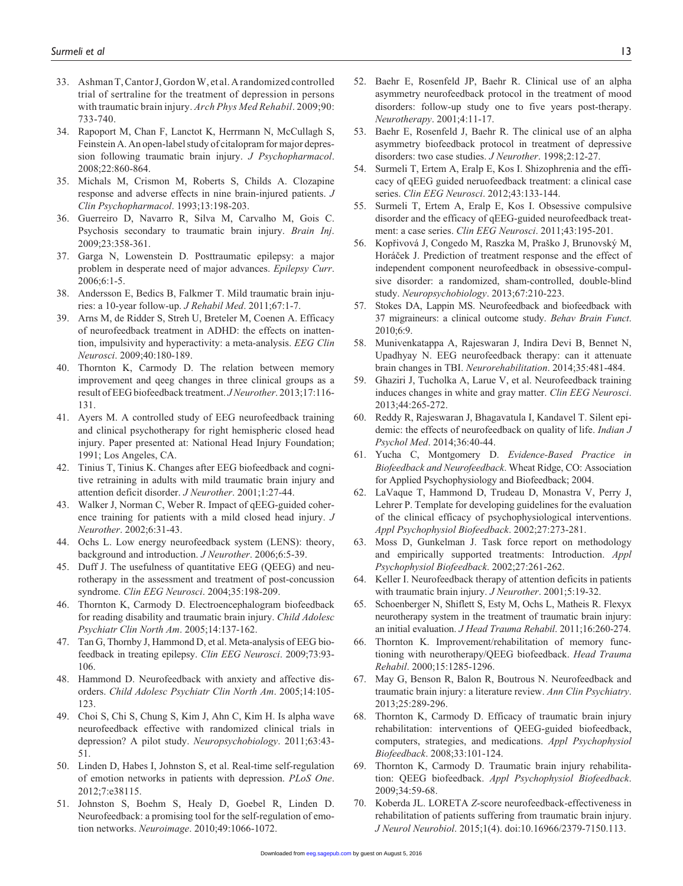- 33. Ashman T, Cantor J, Gordon W, et al. A randomized controlled trial of sertraline for the treatment of depression in persons with traumatic brain injury. *Arch Phys Med Rehabil*. 2009;90: 733-740.
- 34. Rapoport M, Chan F, Lanctot K, Herrmann N, McCullagh S, Feinstein A. An open-label study of citalopram for major depression following traumatic brain injury. *J Psychopharmacol*. 2008;22:860-864.
- 35. Michals M, Crismon M, Roberts S, Childs A. Clozapine response and adverse effects in nine brain-injured patients. *J Clin Psychopharmacol*. 1993;13:198-203.
- 36. Guerreiro D, Navarro R, Silva M, Carvalho M, Gois C. Psychosis secondary to traumatic brain injury. *Brain Inj*. 2009;23:358-361.
- 37. Garga N, Lowenstein D. Posttraumatic epilepsy: a major problem in desperate need of major advances. *Epilepsy Curr*. 2006;6:1-5.
- 38. Andersson E, Bedics B, Falkmer T. Mild traumatic brain injuries: a 10-year follow-up. *J Rehabil Med*. 2011;67:1-7.
- 39. Arns M, de Ridder S, Streh U, Breteler M, Coenen A. Efficacy of neurofeedback treatment in ADHD: the effects on inattention, impulsivity and hyperactivity: a meta-analysis. *EEG Clin Neurosci*. 2009;40:180-189.
- 40. Thornton K, Carmody D. The relation between memory improvement and qeeg changes in three clinical groups as a result of EEG biofeedback treatment. *J Neurother*. 2013;17:116- 131.
- 41. Ayers M. A controlled study of EEG neurofeedback training and clinical psychotherapy for right hemispheric closed head injury. Paper presented at: National Head Injury Foundation; 1991; Los Angeles, CA.
- 42. Tinius T, Tinius K. Changes after EEG biofeedback and cognitive retraining in adults with mild traumatic brain injury and attention deficit disorder. *J Neurother*. 2001;1:27-44.
- 43. Walker J, Norman C, Weber R. Impact of qEEG-guided coherence training for patients with a mild closed head injury. *J Neurother*. 2002;6:31-43.
- 44. Ochs L. Low energy neurofeedback system (LENS): theory, background and introduction. *J Neurother*. 2006;6:5-39.
- 45. Duff J. The usefulness of quantitative EEG (QEEG) and neurotherapy in the assessment and treatment of post-concussion syndrome. *Clin EEG Neurosci*. 2004;35:198-209.
- 46. Thornton K, Carmody D. Electroencephalogram biofeedback for reading disability and traumatic brain injury. *Child Adolesc Psychiatr Clin North Am*. 2005;14:137-162.
- 47. Tan G, Thornby J, Hammond D, et al. Meta-analysis of EEG biofeedback in treating epilepsy. *Clin EEG Neurosci*. 2009;73:93- 106.
- 48. Hammond D. Neurofeedback with anxiety and affective disorders. *Child Adolesc Psychiatr Clin North Am*. 2005;14:105- 123.
- 49. Choi S, Chi S, Chung S, Kim J, Ahn C, Kim H. Is alpha wave neurofeedback effective with randomized clinical trials in depression? A pilot study. *Neuropsychobiology*. 2011;63:43- 51.
- 50. Linden D, Habes I, Johnston S, et al. Real-time self-regulation of emotion networks in patients with depression. *PLoS One*. 2012;7:e38115.
- 51. Johnston S, Boehm S, Healy D, Goebel R, Linden D. Neurofeedback: a promising tool for the self-regulation of emotion networks. *Neuroimage*. 2010;49:1066-1072.
- 52. Baehr E, Rosenfeld JP, Baehr R. Clinical use of an alpha asymmetry neurofeedback protocol in the treatment of mood disorders: follow-up study one to five years post-therapy. *Neurotherapy*. 2001;4:11-17.
- 53. Baehr E, Rosenfeld J, Baehr R. The clinical use of an alpha asymmetry biofeedback protocol in treatment of depressive disorders: two case studies. *J Neurother*. 1998;2:12-27.
- 54. Surmeli T, Ertem A, Eralp E, Kos I. Shizophrenia and the efficacy of qEEG guided neruofeedback treatment: a clinical case series. *Clin EEG Neurosci*. 2012;43:133-144.
- 55. Surmeli T, Ertem A, Eralp E, Kos I. Obsessive compulsive disorder and the efficacy of qEEG-guided neurofeedback treatment: a case series. *Clin EEG Neurosci*. 2011;43:195-201.
- 56. Kopřivová J, Congedo M, Raszka M, Praško J, Brunovský M, Horáček J. Prediction of treatment response and the effect of independent component neurofeedback in obsessive-compulsive disorder: a randomized, sham-controlled, double-blind study. *Neuropsychobiology*. 2013;67:210-223.
- 57. Stokes DA, Lappin MS. Neurofeedback and biofeedback with 37 migraineurs: a clinical outcome study. *Behav Brain Funct*. 2010;6:9.
- 58. Munivenkatappa A, Rajeswaran J, Indira Devi B, Bennet N, Upadhyay N. EEG neurofeedback therapy: can it attenuate brain changes in TBI. *Neurorehabilitation*. 2014;35:481-484.
- 59. Ghaziri J, Tucholka A, Larue V, et al. Neurofeedback training induces changes in white and gray matter. *Clin EEG Neurosci*. 2013;44:265-272.
- 60. Reddy R, Rajeswaran J, Bhagavatula I, Kandavel T. Silent epidemic: the effects of neurofeedback on quality of life. *Indian J Psychol Med*. 2014;36:40-44.
- 61. Yucha C, Montgomery D. *Evidence-Based Practice in Biofeedback and Neurofeedback*. Wheat Ridge, CO: Association for Applied Psychophysiology and Biofeedback; 2004.
- 62. LaVaque T, Hammond D, Trudeau D, Monastra V, Perry J, Lehrer P. Template for developing guidelines for the evaluation of the clinical efficacy of psychophysiological interventions. *Appl Psychophysiol Biofeedback*. 2002;27:273-281.
- 63. Moss D, Gunkelman J. Task force report on methodology and empirically supported treatments: Introduction. *Appl Psychophysiol Biofeedback*. 2002;27:261-262.
- 64. Keller I. Neurofeedback therapy of attention deficits in patients with traumatic brain injury. *J Neurother*. 2001;5:19-32.
- 65. Schoenberger N, Shiflett S, Esty M, Ochs L, Matheis R. Flexyx neurotherapy system in the treatment of traumatic brain injury: an initial evaluation. *J Head Trauma Rehabil*. 2011;16:260-274.
- 66. Thornton K. Improvement/rehabilitation of memory functioning with neurotherapy/QEEG biofeedback. *Head Trauma Rehabil*. 2000;15:1285-1296.
- 67. May G, Benson R, Balon R, Boutrous N. Neurofeedback and traumatic brain injury: a literature review. *Ann Clin Psychiatry*. 2013;25:289-296.
- 68. Thornton K, Carmody D. Efficacy of traumatic brain injury rehabilitation: interventions of QEEG-guided biofeedback, computers, strategies, and medications. *Appl Psychophysiol Biofeedback*. 2008;33:101-124.
- 69. Thornton K, Carmody D. Traumatic brain injury rehabilitation: QEEG biofeedback. *Appl Psychophysiol Biofeedback*. 2009;34:59-68.
- 70. Koberda JL. LORETA *Z*-score neurofeedback-effectiveness in rehabilitation of patients suffering from traumatic brain injury. *J Neurol Neurobiol*. 2015;1(4). doi:10.16966/2379-7150.113.